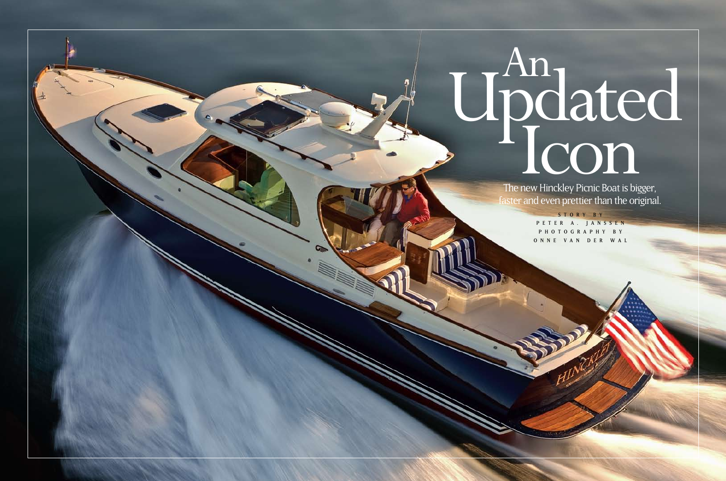The new Hinckley Picnic Boat is bigger, faster and even prettier than the original.

> S T O R Y B Y PETER A. JANSSEN P H O T O G R A P H Y B Y ONNE VAN DER WAL



40 motorboating.com January 2009 January 2009 Motorboating.com January 2009 Motorboating.com 41 motorboating.com 41 motorboating.com 41 motorboating.com 41 motorboating.com 41 motorboating.com 41 motorboating.com 41 motorb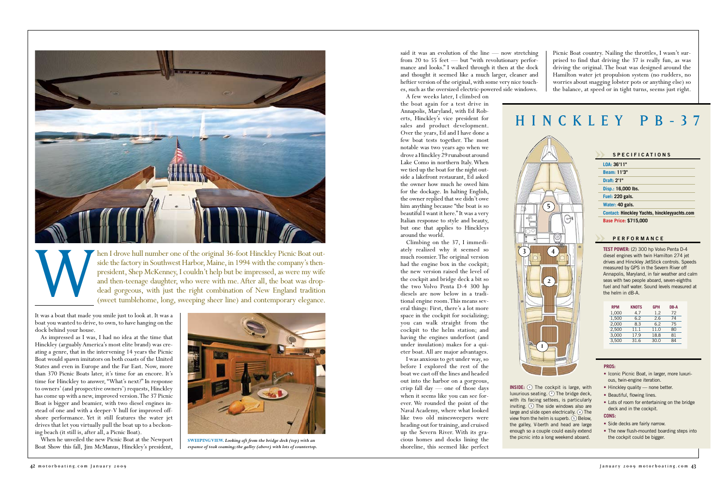said it was an evolution of the line — now stretching from 20 to 55 feet — but "with revolutionary performance and looks." I walked through it then at the dock and thought it seemed like a much larger, cleaner and heftier version of the original, with some very nice touches, such as the oversized electric-powered side windows.

A few weeks later, I climbed on the boat again for a test drive in Annapolis, Maryland, with Ed Roberts, Hinckley's vice president for sales and product development. Over the years, Ed and I have done a few boat tests together. The most notable was two years ago when we drove a Hinckley 29 runabout around Lake Como in northern Italy. When we tied up the boat for the night outside a lakefront restaurant, Ed asked the owner how much he owed him for the dockage. In halting English, the owner replied that we didn't owe him anything because "the boat is so beautiful I want it here." It was a very Italian response to style and beauty, but one that applies to Hinckleys around the world.

luxurious seating.  $\odot$  The bridge deck, with its facing settees, is particularly inviting.  $\odot$  The side windows also are large and slide open electrically.  $\overline{4}$  The view from the helm is superb. 5 Below, the galley, V-berth and head are large enough so a couple could easily extend the picnic into a long weekend aboard.

Climbing on the 37, I immediately realized why it seemed so much roomier. The original version had the engine box in the cockpit; the new version raised the level of the cockpit and bridge deck a bit so the two Volvo Penta D-4 300 hp diesels are now below in a traditional engine room. This means several things: First, there's a lot more space in the cockpit for socializing; you can walk straight from the cockpit to the helm station; and having the engines underfoot (and under insulation) makes for a quieter boat. All are major advantages.

- Iconic Picnic Boat, in larger, more luxurious, twin-engine iteration.
- Hinckley quality none better.
- Beautiful, flowing lines.
- Lots of room for entertaining on the bridge deck and in the cockpit.



- Side decks are fairly narrow.
- The new flush-mounted boarding steps into the cockpit could be bigger.

hen I drove hull number one of the original 36-foot Hinckley Picnic Boat outside the factory in Southwest Harbor, Maine, in 1994 with the company's thenpresident, Shep McKenney, I couldn't help but be impressed, as were my wife and then-teenage daughter, who were with me. After all, the boat was drop-<br>dead gorgeous, with just the right combination of New England tradition dead gorgeous, with just the right combination of New England tradition (sweet tumblehome, long, sweeping sheer line) and contemporary elegance.

**INSIDE:**  $\odot$  The cockpit is large, with

I was anxious to get under way, so before I explored the rest of the boat we cast off the lines and headed out into the harbor on a gorgeous, crisp fall day — one of those days when it seems like you can see forever. We rounded the point of the Naval Academy, where what looked like two old minesweepers were heading out for training, and cruised up the Severn River. With its gracious homes and docks lining the shoreline, this seemed like perfect

# HINCKLEY PB- 3 7

# **Specification s**

**LOA: 36'11"**

**Beam: 11'3"**

**Draft: 2'1"**

**Disp.: 16,000 lbs.**

**Fuel: 220 gals.**

**Water: 40 gals.**

**Contact: Hinckley Yachts, hinckleyyachts.com Base Price: \$715,000**

# **performance**

| <b>RPM</b> | <b>KNOTS</b> | <b>GPH</b> | DB-A |
|------------|--------------|------------|------|
| 1.000      | 47           | 1.2        | 72   |
| 1.500      | 6.2          | 26         | 74   |
| 2.000      | 8.3          | 6.2        | 75   |
| 2,500      | 11.1         | 11.0       | 80   |
| 3.000      | 17.9         | 18.8       | 81   |
| 3.500      | 31.6         | 30.0       | 84   |

**TEST POWER:** (2) 300 hp Volvo Penta D-4 diesel engines with twin Hamilton 274 jet drives and Hinckley JetStick controls. Speeds measured by GPS in the Severn River off Annapolis, Maryland, in fair weather and calm seas with two people aboard, seven-eighths fuel and half water. Sound levels measured at the helm in dB-A.

### **PROS:**

# **CONS:**

It was a boat that made you smile just to look at. It was a boat you wanted to drive, to own, to have hanging on the dock behind your house.



 $\Theta$ 

As impressed as I was, I had no idea at the time that Hinckley (arguably America's most elite brand) was creating a genre, that in the intervening 14 years the Picnic Boat would spawn imitators on both coasts of the United States and even in Europe and the Far East. Now, more than 370 Picnic Boats later, it's time for an encore. It's time for Hinckley to answer, "What's next?" In response to owners' (and prospective owners') requests, Hinckley has come up with a new, improved version. The 37 Picnic Boat is bigger and beamier, with two diesel engines instead of one and with a deeper-V hull for improved offshore performance. Yet it still features the water jet drives that let you virtually pull the boat up to a beckoning beach (it still is, after all, a Picnic Boat).

When he unveiled the new Picnic Boat at the Newport Boat Show this fall, Jim McManus, Hinckley's president,



**SWEEPING VIEW.** *Looking aft from the bridge deck (top) with an expanse of teak coaming; the galley (above) with lots of countertop.*

Picnic Boat country. Nailing the throttles, I wasn't surprised to find that driving the 37 is really fun, as was driving the original. The boat was designed around the Hamilton water jet propulsion system (no rudders, no worries about snagging lobster pots or anything else) so the balance, at speed or in tight turns, seems just right.